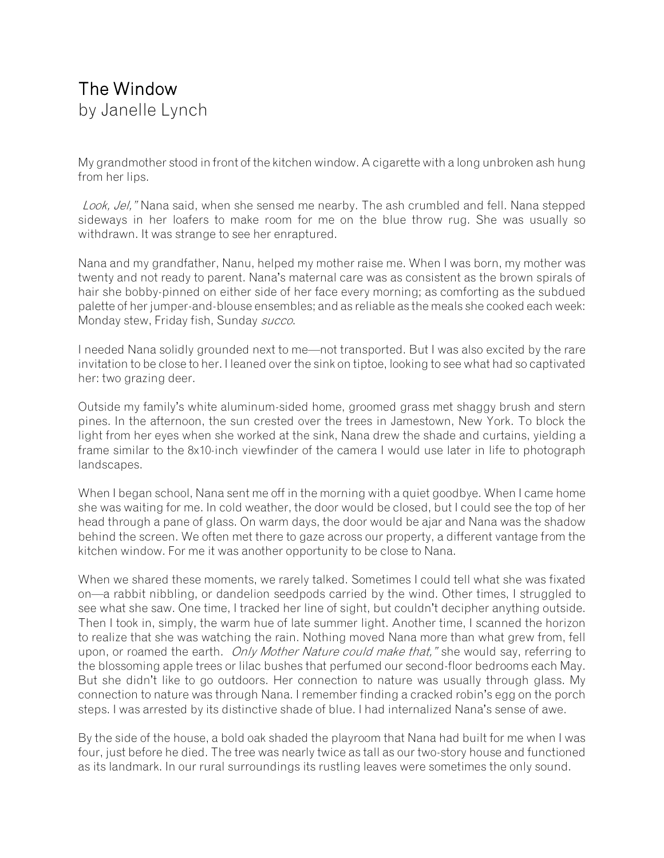## The Window by Janelle Lynch

My grandmother stood in front of the kitchen window. A cigarette with a long unbroken ash hung from her lips.

Look, Jel," Nana said, when she sensed me nearby. The ash crumbled and fell. Nana stepped sideways in her loafers to make room for me on the blue throw rug. She was usually so withdrawn. It was strange to see her enraptured.

Nana and my grandfather, Nanu, helped my mother raise me. When I was born, my mother was twenty and not ready to parent. Nana's maternal care was as consistent as the brown spirals of hair she bobby-pinned on either side of her face every morning; as comforting as the subdued palette of her jumper-and-blouse ensembles; and as reliable as the meals she cooked each week: Monday stew, Friday fish, Sunday succo.

I needed Nana solidly grounded next to me—not transported. But I was also excited by the rare invitation to be close to her. I leaned over the sink on tiptoe, looking to see what had so captivated her: two grazing deer.

Outside my family's white aluminum-sided home, groomed grass met shaggy brush and stern pines. In the afternoon, the sun crested over the trees in Jamestown, New York. To block the light from her eyes when she worked at the sink, Nana drew the shade and curtains, yielding a frame similar to the 8x10-inch viewfinder of the camera I would use later in life to photograph landscapes.

When I began school, Nana sent me off in the morning with a quiet goodbye. When I came home she was waiting for me. In cold weather, the door would be closed, but I could see the top of her head through a pane of glass. On warm days, the door would be ajar and Nana was the shadow behind the screen. We often met there to gaze across our property, a different vantage from the kitchen window. For me it was another opportunity to be close to Nana.

When we shared these moments, we rarely talked. Sometimes I could tell what she was fixated on—a rabbit nibbling, or dandelion seedpods carried by the wind. Other times, I struggled to see what she saw. One time, I tracked her line of sight, but couldn't decipher anything outside. Then I took in, simply, the warm hue of late summer light. Another time, I scanned the horizon to realize that she was watching the rain. Nothing moved Nana more than what grew from, fell upon, or roamed the earth. *Only Mother Nature could make that*," she would say, referring to the blossoming apple trees or lilac bushes that perfumed our second-floor bedrooms each May. But she didn't like to go outdoors. Her connection to nature was usually through glass. My connection to nature was through Nana. I remember finding a cracked robin's egg on the porch steps. I was arrested by its distinctive shade of blue. I had internalized Nana's sense of awe.

By the side of the house, a bold oak shaded the playroom that Nana had built for me when I was four, just before he died. The tree was nearly twice as tall as our two-story house and functioned as its landmark. In our rural surroundings its rustling leaves were sometimes the only sound.